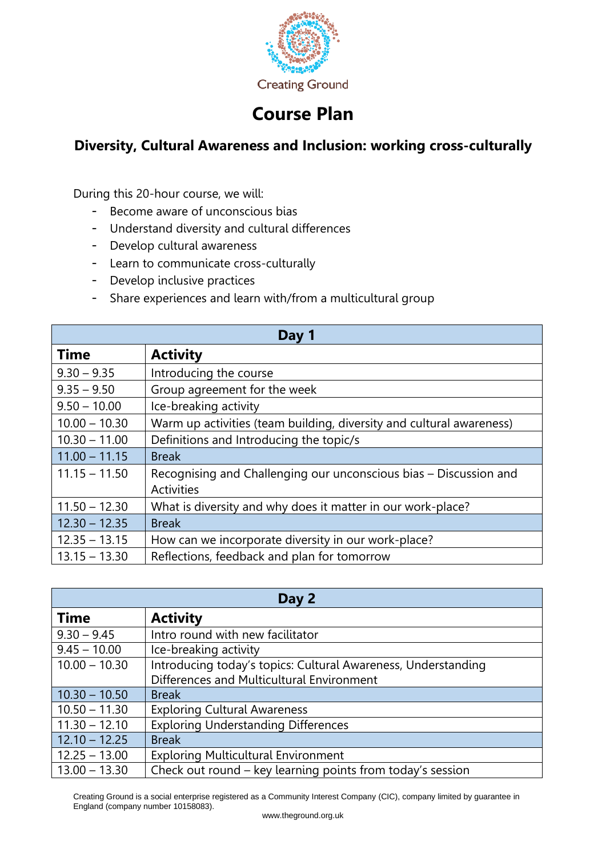

# **Course Plan**

## **Diversity, Cultural Awareness and Inclusion: working cross-culturally**

During this 20-hour course, we will:

- Become aware of unconscious bias
- Understand diversity and cultural differences
- Develop cultural awareness
- Learn to communicate cross-culturally
- Develop inclusive practices
- Share experiences and learn with/from a multicultural group

| Day 1           |                                                                      |
|-----------------|----------------------------------------------------------------------|
| <b>Time</b>     | <b>Activity</b>                                                      |
| $9.30 - 9.35$   | Introducing the course                                               |
| $9.35 - 9.50$   | Group agreement for the week                                         |
| $9.50 - 10.00$  | Ice-breaking activity                                                |
| $10.00 - 10.30$ | Warm up activities (team building, diversity and cultural awareness) |
| $10.30 - 11.00$ | Definitions and Introducing the topic/s                              |
| $11.00 - 11.15$ | <b>Break</b>                                                         |
| $11.15 - 11.50$ | Recognising and Challenging our unconscious bias - Discussion and    |
|                 | <b>Activities</b>                                                    |
| $11.50 - 12.30$ | What is diversity and why does it matter in our work-place?          |
| $12.30 - 12.35$ | <b>Break</b>                                                         |
| $12.35 - 13.15$ | How can we incorporate diversity in our work-place?                  |
| $13.15 - 13.30$ | Reflections, feedback and plan for tomorrow                          |

| Day 2           |                                                               |
|-----------------|---------------------------------------------------------------|
| <b>Time</b>     | <b>Activity</b>                                               |
| $9.30 - 9.45$   | Intro round with new facilitator                              |
| $9.45 - 10.00$  | Ice-breaking activity                                         |
| $10.00 - 10.30$ | Introducing today's topics: Cultural Awareness, Understanding |
|                 | Differences and Multicultural Environment                     |
| $10.30 - 10.50$ | <b>Break</b>                                                  |
| $10.50 - 11.30$ | <b>Exploring Cultural Awareness</b>                           |
| $11.30 - 12.10$ | <b>Exploring Understanding Differences</b>                    |
| $12.10 - 12.25$ | <b>Break</b>                                                  |
| $12.25 - 13.00$ | <b>Exploring Multicultural Environment</b>                    |
| $13.00 - 13.30$ | Check out round – key learning points from today's session    |

Creating Ground is a social enterprise registered as a Community Interest Company (CIC), company limited by guarantee in England (company number 10158083).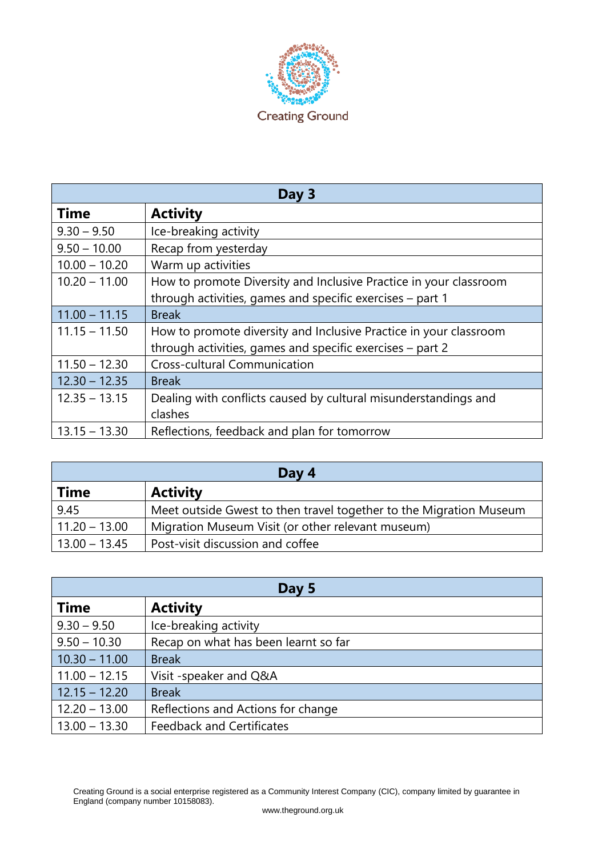

| Day 3           |                                                                   |  |
|-----------------|-------------------------------------------------------------------|--|
| <b>Time</b>     | <b>Activity</b>                                                   |  |
| $9.30 - 9.50$   | Ice-breaking activity                                             |  |
| $9.50 - 10.00$  | Recap from yesterday                                              |  |
| $10.00 - 10.20$ | Warm up activities                                                |  |
| $10.20 - 11.00$ | How to promote Diversity and Inclusive Practice in your classroom |  |
|                 | through activities, games and specific exercises - part 1         |  |
| $11.00 - 11.15$ | <b>Break</b>                                                      |  |
| $11.15 - 11.50$ | How to promote diversity and Inclusive Practice in your classroom |  |
|                 | through activities, games and specific exercises - part 2         |  |
| $11.50 - 12.30$ | <b>Cross-cultural Communication</b>                               |  |
| $12.30 - 12.35$ | <b>Break</b>                                                      |  |
| $12.35 - 13.15$ | Dealing with conflicts caused by cultural misunderstandings and   |  |
|                 | clashes                                                           |  |
| $13.15 - 13.30$ | Reflections, feedback and plan for tomorrow                       |  |

| Day 4           |                                                                    |  |
|-----------------|--------------------------------------------------------------------|--|
| <b>Time</b>     | <b>Activity</b>                                                    |  |
| 9.45            | Meet outside Gwest to then travel together to the Migration Museum |  |
| $11.20 - 13.00$ | Migration Museum Visit (or other relevant museum)                  |  |
| $13.00 - 13.45$ | Post-visit discussion and coffee                                   |  |

| Day 5           |                                      |  |
|-----------------|--------------------------------------|--|
| <b>Time</b>     | <b>Activity</b>                      |  |
| $9.30 - 9.50$   | Ice-breaking activity                |  |
| $9.50 - 10.30$  | Recap on what has been learnt so far |  |
| $10.30 - 11.00$ | <b>Break</b>                         |  |
| $11.00 - 12.15$ | Visit -speaker and Q&A               |  |
| $12.15 - 12.20$ | <b>Break</b>                         |  |
| $12.20 - 13.00$ | Reflections and Actions for change   |  |
| $13.00 - 13.30$ | <b>Feedback and Certificates</b>     |  |